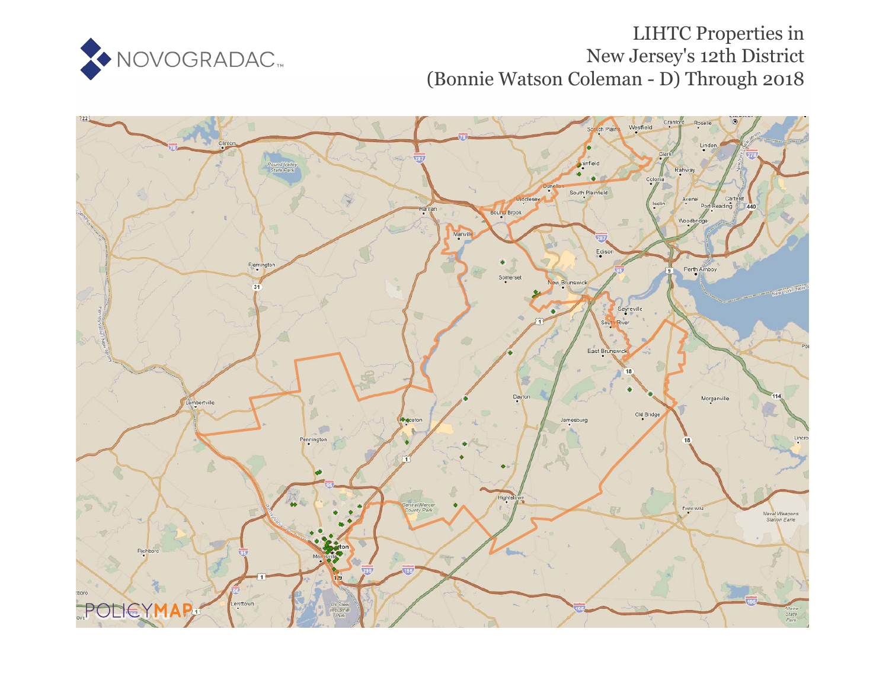

# LIHTC Properties in New Jersey's 12th District (Bonnie Watson Coleman - D) Through 2018

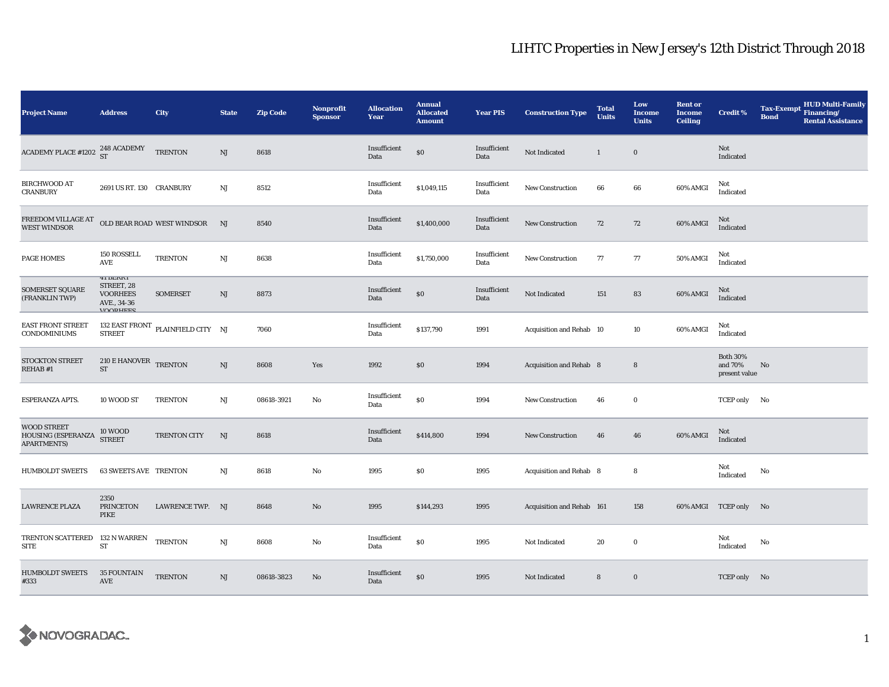| <b>Project Name</b>                                     | <b>Address</b>                                                              | <b>City</b>                                 | <b>State</b> | <b>Zip Code</b> | Nonprofit<br><b>Sponsor</b> | <b>Allocation</b><br>Year | <b>Annual</b><br><b>Allocated</b><br><b>Amount</b> | <b>Year PIS</b>      | <b>Construction Type</b>       | <b>Total</b><br><b>Units</b> | Low<br><b>Income</b><br><b>Units</b> | <b>Rent or</b><br><b>Income</b><br><b>Ceiling</b> | <b>Credit %</b>                             | <b>Tax-Exempt</b><br><b>Bond</b> | <b>HUD Multi-Family</b><br>Financing/<br><b>Rental Assistance</b> |
|---------------------------------------------------------|-----------------------------------------------------------------------------|---------------------------------------------|--------------|-----------------|-----------------------------|---------------------------|----------------------------------------------------|----------------------|--------------------------------|------------------------------|--------------------------------------|---------------------------------------------------|---------------------------------------------|----------------------------------|-------------------------------------------------------------------|
| <b>ACADEMY PLACE #1202</b>                              | 248 ACADEMY<br>ST                                                           | <b>TRENTON</b>                              | NJ           | 8618            |                             | Insufficient<br>Data      | \$0                                                | Insufficient<br>Data | Not Indicated                  | $\mathbf{1}$                 | $\bf{0}$                             |                                                   | Not<br>Indicated                            |                                  |                                                                   |
| <b>BIRCHWOOD AT</b><br><b>CRANBURY</b>                  | 2691 US RT. 130 CRANBURY                                                    |                                             | NJ           | 8512            |                             | Insufficient<br>Data      | \$1,049,115                                        | Insufficient<br>Data | <b>New Construction</b>        | 66                           | 66                                   | 60% AMGI                                          | Not<br>Indicated                            |                                  |                                                                   |
| FREEDOM VILLAGE AT<br><b>WEST WINDSOR</b>               |                                                                             | OLD BEAR ROAD WEST WINDSOR                  | NJ           | 8540            |                             | Insufficient<br>Data      | \$1,400,000                                        | Insufficient<br>Data | <b>New Construction</b>        | 72                           | 72                                   | 60% AMGI                                          | Not<br>Indicated                            |                                  |                                                                   |
| <b>PAGE HOMES</b>                                       | 150 ROSSELL<br>AVE                                                          | <b>TRENTON</b>                              | NJ           | 8638            |                             | Insufficient<br>Data      | \$1,750,000                                        | Insufficient<br>Data | <b>New Construction</b>        | 77                           | 77                                   | 50% AMGI                                          | Not<br>Indicated                            |                                  |                                                                   |
| SOMERSET SQUARE<br>(FRANKLIN TWP)                       | 41 BERRI<br>STREET, 28<br><b>VOORHEES</b><br>AVE., 34-36<br><b>VOODHEES</b> | <b>SOMERSET</b>                             | NJ           | 8873            |                             | Insufficient<br>Data      | \$0                                                | Insufficient<br>Data | Not Indicated                  | 151                          | 83                                   | 60% AMGI                                          | Not<br>Indicated                            |                                  |                                                                   |
| <b>EAST FRONT STREET</b><br>CONDOMINIUMS                | <b>STREET</b>                                                               | 132 EAST FRONT $\,$ PLAINFIELD CITY $\,$ NJ |              | 7060            |                             | Insufficient<br>Data      | \$137,790                                          | 1991                 | Acquisition and Rehab 10       |                              | 10                                   | 60% AMGI                                          | Not<br>Indicated                            |                                  |                                                                   |
| <b>STOCKTON STREET</b><br>REHAB #1                      | 210 E HANOVER TRENTON<br><b>ST</b>                                          |                                             | NJ           | 8608            | Yes                         | 1992                      | \$0                                                | 1994                 | <b>Acquisition and Rehab 8</b> |                              | 8                                    |                                                   | <b>Both 30%</b><br>and 70%<br>present value | No                               |                                                                   |
| ESPERANZA APTS.                                         | 10 WOOD ST                                                                  | <b>TRENTON</b>                              | $\rm{NJ}$    | 08618-3921      | No                          | Insufficient<br>Data      | \$0                                                | 1994                 | <b>New Construction</b>        | 46                           | $\bf{0}$                             |                                                   | TCEP only No                                |                                  |                                                                   |
| WOOD STREET<br>HOUSING (ESPERANZA<br><b>APARTMENTS)</b> | <b>10 WOOD</b><br><b>STREET</b>                                             | TRENTON CITY                                | NJ           | 8618            |                             | Insufficient<br>Data      | \$414,800                                          | 1994                 | New Construction               | 46                           | 46                                   | 60% AMGI                                          | Not<br>Indicated                            |                                  |                                                                   |
| <b>HUMBOLDT SWEETS</b>                                  | <b>63 SWEETS AVE TRENTON</b>                                                |                                             | $_{\rm NJ}$  | 8618            | No                          | 1995                      | \$0                                                | 1995                 | Acquisition and Rehab 8        |                              | 8                                    |                                                   | Not<br>Indicated                            | No                               |                                                                   |
| <b>LAWRENCE PLAZA</b>                                   | 2350<br><b>PRINCETON</b><br>PIKE                                            | LAWRENCE TWP. NJ                            |              | 8648            | No                          | 1995                      | \$144,293                                          | 1995                 | Acquisition and Rehab 161      |                              | 158                                  |                                                   | 60% AMGI TCEP only No                       |                                  |                                                                   |
| TRENTON SCATTERED 132 N WARREN<br><b>SITE</b>           | ST                                                                          | <b>TRENTON</b>                              | $_{\rm NJ}$  | 8608            | No                          | Insufficient<br>Data      | \$0                                                | 1995                 | Not Indicated                  | 20                           | $\bf{0}$                             |                                                   | Not<br>Indicated                            | No                               |                                                                   |
| <b>HUMBOLDT SWEETS</b><br>#333                          | <b>35 FOUNTAIN</b><br>AVE                                                   | <b>TRENTON</b>                              | NJ           | 08618-3823      | No                          | Insufficient<br>Data      | \$0                                                | 1995                 | Not Indicated                  | 8                            | $\bf{0}$                             |                                                   | TCEP only No                                |                                  |                                                                   |

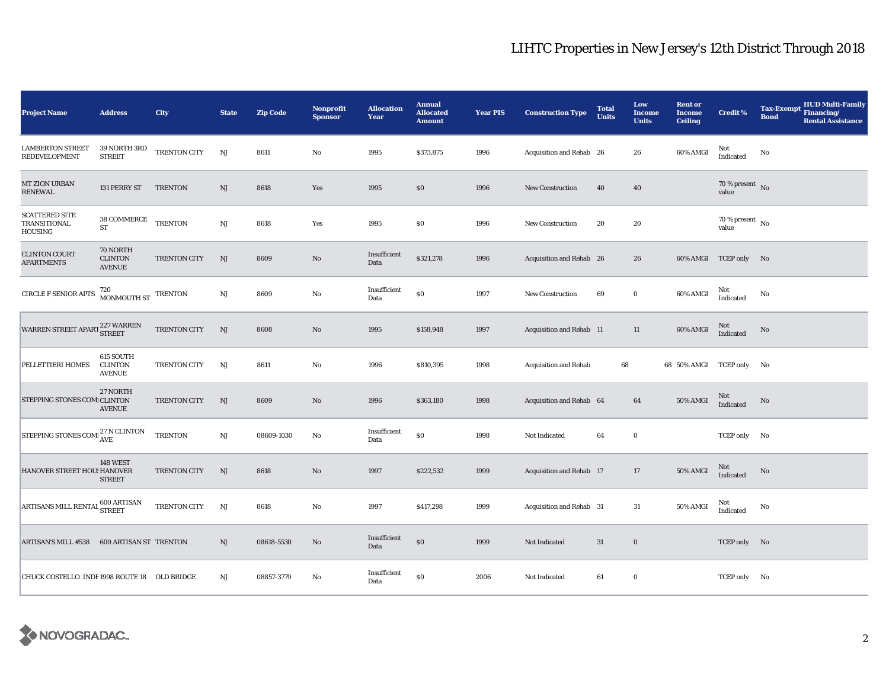| <b>Project Name</b>                                                                                    | <b>Address</b>                               | City           | <b>State</b> | <b>Zip Code</b> | Nonprofit<br><b>Sponsor</b> | <b>Allocation</b><br>Year | <b>Annual</b><br><b>Allocated</b><br><b>Amount</b> | <b>Year PIS</b> | <b>Construction Type</b> | <b>Total</b><br><b>Units</b> | Low<br><b>Income</b><br><b>Units</b> | <b>Rent or</b><br><b>Income</b><br><b>Ceiling</b> | <b>Credit %</b>                        | <b>HUD Multi-Family</b><br><b>Tax-Exempt</b><br>Financing/<br><b>Bond</b><br><b>Rental Assistance</b> |
|--------------------------------------------------------------------------------------------------------|----------------------------------------------|----------------|--------------|-----------------|-----------------------------|---------------------------|----------------------------------------------------|-----------------|--------------------------|------------------------------|--------------------------------------|---------------------------------------------------|----------------------------------------|-------------------------------------------------------------------------------------------------------|
| <b>LAMBERTON STREET</b><br><b>REDEVELOPMENT</b>                                                        | 39 NORTH 3RD<br><b>STREET</b>                | TRENTON CITY   | NJ           | 8611            | $\rm No$                    | 1995                      | \$373,875                                          | 1996            | Acquisition and Rehab 26 |                              | 26                                   | 60% AMGI                                          | Not<br>Indicated                       | No                                                                                                    |
| <b>MT ZION URBAN</b><br>RENEWAL                                                                        | 131 PERRY ST                                 | TRENTON        | NJ           | 8618            | Yes                         | 1995                      | \$0                                                | 1996            | <b>New Construction</b>  | 40                           | 40                                   |                                                   | 70 % present $\overline{N_0}$<br>value |                                                                                                       |
| <b>SCATTERED SITE</b><br>TRANSITIONAL<br>HOUSING                                                       | 38 COMMERCE<br>ST                            | <b>TRENTON</b> | NJ           | 8618            | Yes                         | 1995                      | \$0                                                | 1996            | <b>New Construction</b>  | 20                           | 20                                   |                                                   | 70 % present $\overline{N_0}$<br>value |                                                                                                       |
| <b>CLINTON COURT</b><br><b>APARTMENTS</b>                                                              | 70 NORTH<br><b>CLINTON</b><br><b>AVENUE</b>  | TRENTON CITY   | NJ           | 8609            | $\rm No$                    | Insufficient<br>Data      | \$321,278                                          | 1996            | Acquisition and Rehab 26 |                              | 26                                   |                                                   | 60% AMGI TCEP only No                  |                                                                                                       |
| <b>CIRCLE F SENIOR APTS</b>                                                                            | 720<br>MONMOUTH ST                           | <b>TRENTON</b> | NJ           | 8609            | $\rm No$                    | Insufficient<br>Data      | \$0                                                | 1997            | <b>New Construction</b>  | 69                           | $\bf{0}$                             | 60% AMGI                                          | Not<br>Indicated                       | No                                                                                                    |
| $\begin{array}{c} \hbox{WARREN STREET APARI}\,\, 227 \,\hbox{WARREN}\,\, \\ \hbox{STREET} \end{array}$ |                                              | TRENTON CITY   | NJ           | 8608            | $\rm No$                    | 1995                      | \$158,948                                          | 1997            | Acquisition and Rehab 11 |                              | 11                                   | 60% AMGI                                          | <b>Not</b><br>Indicated                | No                                                                                                    |
| PELLETTIERI HOMES                                                                                      | 615 SOUTH<br><b>CLINTON</b><br><b>AVENUE</b> | TRENTON CITY   | NJ           | 8611            | $\rm\thinspace No$          | 1996                      | \$810,395                                          | 1998            | Acquisition and Rehab    |                              | 68                                   | 68 50% AMGI TCEP only No                          |                                        |                                                                                                       |
| STEPPING STONES COMICLINTON                                                                            | 27 NORTH<br><b>AVENUE</b>                    | TRENTON CITY   | <b>NJ</b>    | 8609            | $\rm No$                    | 1996                      | \$363,180                                          | 1998            | Acquisition and Rehab 64 |                              | 64                                   | <b>50% AMGI</b>                                   | Not<br>Indicated                       | $\rm No$                                                                                              |
| STEPPING STONES COME $^{27\,\rm N}_{\rm AVE}$ CLINTON                                                  |                                              | <b>TRENTON</b> | NJ           | 08609-1030      | No                          | Insufficient<br>Data      | $\$0$                                              | 1998            | Not Indicated            | 64                           | $\bf{0}$                             |                                                   | TCEP only No                           |                                                                                                       |
| HANOVER STREET HOU! HANOVER                                                                            | <b>148 WEST</b><br><b>STREET</b>             | TRENTON CITY   | NJ           | 8618            | No                          | 1997                      | \$222,532                                          | 1999            | Acquisition and Rehab 17 |                              | 17                                   | <b>50% AMGI</b>                                   | Not<br>Indicated                       | No                                                                                                    |
| ARTISANS MILL RENTAL 600 ARTISAN                                                                       |                                              | TRENTON CITY   | NJ           | 8618            | No                          | 1997                      | \$417,298                                          | 1999            | Acquisition and Rehab 31 |                              | 31                                   | 50% AMGI                                          | Not<br>Indicated                       | $\mathbf{No}$                                                                                         |
| <b>ARTISAN'S MILL #538</b>                                                                             | <b>600 ARTISAN ST TRENTON</b>                |                | $\rm{NJ}$    | 08618-5530      | $\rm No$                    | Insufficient<br>Data      | \$0                                                | 1999            | Not Indicated            | 31                           | $\bf{0}$                             |                                                   | TCEP only No                           |                                                                                                       |
| CHUCK COSTELLO INDE 1998 ROUTE 18 OLD BRIDGE                                                           |                                              |                | NJ           | 08857-3779      | No                          | Insufficient<br>Data      | \$0                                                | 2006            | Not Indicated            | 61                           | $\bf{0}$                             |                                                   | TCEP only No                           |                                                                                                       |

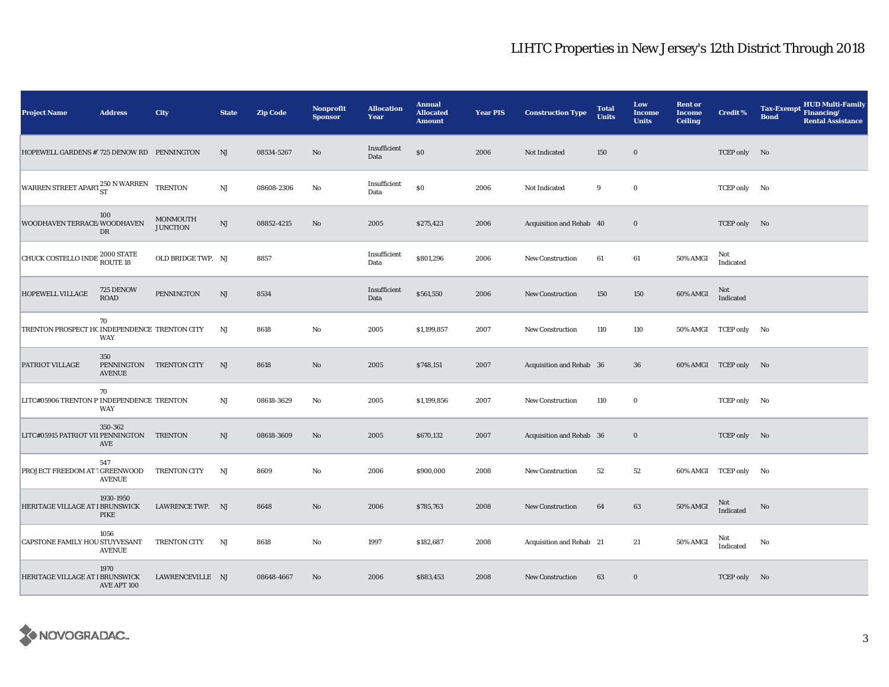| <b>Project Name</b>                           | <b>Address</b>                     | City                               | <b>State</b>           | <b>Zip Code</b> | <b>Nonprofit</b><br><b>Sponsor</b> | <b>Allocation</b><br>Year | <b>Annual</b><br><b>Allocated</b><br><b>Amount</b> | <b>Year PIS</b> | <b>Construction Type</b> | <b>Total</b><br><b>Units</b> | Low<br>Income<br><b>Units</b> | <b>Rent or</b><br><b>Income</b><br><b>Ceiling</b> | Credit %              | <b>HUD Multi-Family</b><br><b>Tax-Exempt</b><br>Financing/<br><b>Bond</b><br><b>Rental Assistance</b> |
|-----------------------------------------------|------------------------------------|------------------------------------|------------------------|-----------------|------------------------------------|---------------------------|----------------------------------------------------|-----------------|--------------------------|------------------------------|-------------------------------|---------------------------------------------------|-----------------------|-------------------------------------------------------------------------------------------------------|
| HOPEWELL GARDENS #1725 DENOW RD PENNINGTON    |                                    |                                    | $\rm{NJ}$              | 08534-5267      | No                                 | Insufficient<br>Data      | $\$0$                                              | 2006            | Not Indicated            | 150                          | $\bf{0}$                      |                                                   | TCEP only No          |                                                                                                       |
| WARREN STREET APART 250 N WARREN              |                                    | <b>TRENTON</b>                     | $\mathbf{N}\mathbf{J}$ | 08608-2306      | No                                 | Insufficient<br>Data      | \$0                                                | 2006            | Not Indicated            | 9                            | $\bf{0}$                      |                                                   | TCEP only No          |                                                                                                       |
| WOODHAVEN TERRACE WOODHAVEN                   | 100<br>DR                          | <b>MONMOUTH</b><br><b>JUNCTION</b> | $\mathbf{N}\mathbf{J}$ | 08852-4215      | $\rm No$                           | 2005                      | \$275,423                                          | 2006            | Acquisition and Rehab 40 |                              | $\bf{0}$                      |                                                   | TCEP only No          |                                                                                                       |
| CHUCK COSTELLO INDE <sup>2000</sup> STATE     |                                    | OLD BRIDGE TWP. NJ                 |                        | 8857            |                                    | Insufficient<br>Data      | \$801,296                                          | 2006            | <b>New Construction</b>  | 61                           | 61                            | 50% AMGI                                          | Not<br>Indicated      |                                                                                                       |
| HOPEWELL VILLAGE                              | 725 DENOW<br><b>ROAD</b>           | PENNINGTON                         | $\mathbf{N}\mathbf{J}$ | 8534            |                                    | Insufficient<br>Data      | \$561,550                                          | 2006            | <b>New Construction</b>  | 150                          | 150                           | 60% AMGI                                          | Not<br>Indicated      |                                                                                                       |
| TRENTON PROSPECT HC INDEPENDENCE TRENTON CITY | 70<br>WAY                          |                                    | NJ                     | 8618            | $\rm No$                           | 2005                      | \$1,199,857                                        | 2007            | <b>New Construction</b>  | 110                          | 110                           |                                                   | 50% AMGI TCEP only No |                                                                                                       |
| PATRIOT VILLAGE                               | 350<br>PENNINGTON<br><b>AVENUE</b> | <b>TRENTON CITY</b>                | NJ                     | 8618            | No                                 | 2005                      | \$748,151                                          | 2007            | Acquisition and Rehab 36 |                              | 36                            |                                                   | 60% AMGI TCEP only No |                                                                                                       |
| LITC#05906 TRENTON P INDEPENDENCE TRENTON     | 70<br><b>WAY</b>                   |                                    | NJ                     | 08618-3629      | No                                 | 2005                      | \$1,199,856                                        | 2007            | New Construction         | 110                          | $\mathbf 0$                   |                                                   | TCEP only No          |                                                                                                       |
| LITC#05915 PATRIOT VII PENNINGTON TRENTON     | 350-362<br>AVE                     |                                    | NJ                     | 08618-3609      | $\rm No$                           | 2005                      | \$670,132                                          | 2007            | Acquisition and Rehab 36 |                              | $\mathbf 0$                   |                                                   | TCEP only No          |                                                                                                       |
| PROJECT FREEDOM AT 1 GREENWOOD                | 547<br><b>AVENUE</b>               | TRENTON CITY                       | NJ                     | 8609            | $\rm No$                           | 2006                      | \$900,000                                          | 2008            | New Construction         | 52                           | 52                            |                                                   | 60% AMGI TCEP only No |                                                                                                       |
| HERITAGE VILLAGE AT I BRUNSWICK               | 1930-1950<br>PIKE                  | LAWRENCE TWP. NJ                   |                        | 8648            | No                                 | 2006                      | \$785,763                                          | 2008            | <b>New Construction</b>  | 64                           | 63                            | 50% AMGI                                          | Not<br>Indicated      | No                                                                                                    |
| CAPSTONE FAMILY HOU STUYVESANT                | 1056<br><b>AVENUE</b>              | TRENTON CITY                       | NJ                     | 8618            | No                                 | 1997                      | \$182,687                                          | 2008            | Acquisition and Rehab 21 |                              | 21                            | 50% AMGI                                          | Not<br>Indicated      | No                                                                                                    |
| HERITAGE VILLAGE AT I BRUNSWICK               | 1970<br>AVE APT 100                | LAWRENCEVILLE NJ                   |                        | 08648-4667      | No                                 | 2006                      | \$883,453                                          | 2008            | <b>New Construction</b>  | 63                           | $\bf{0}$                      |                                                   | TCEP only No          |                                                                                                       |

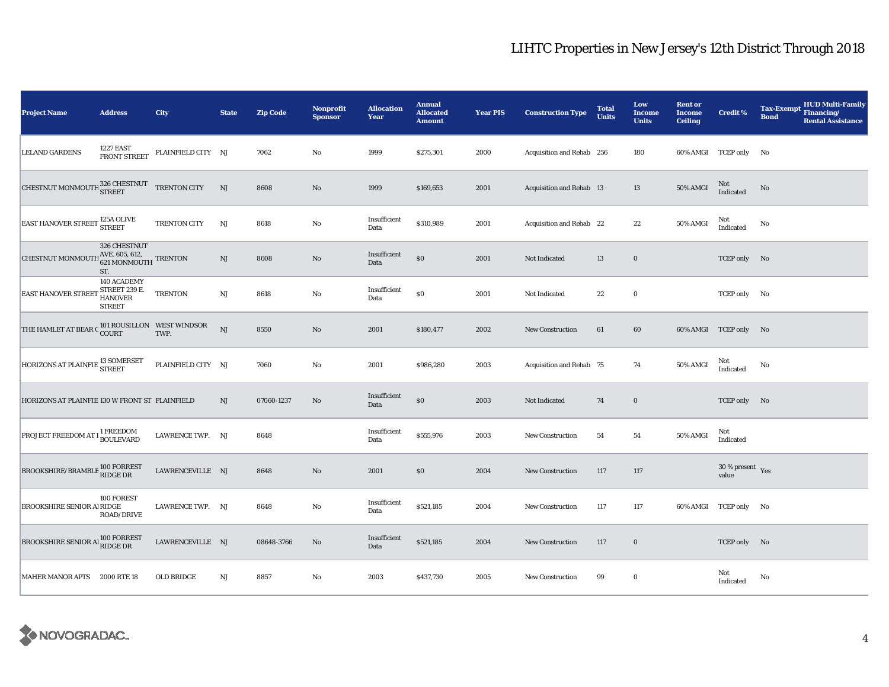| <b>Project Name</b>                                   | <b>Address</b>                                           | <b>City</b>        | <b>State</b> | <b>Zip Code</b> | Nonprofit<br><b>Sponsor</b> | <b>Allocation</b><br>Year | <b>Annual</b><br><b>Allocated</b><br><b>Amount</b> | <b>Year PIS</b> | <b>Construction Type</b>  | <b>Total</b><br><b>Units</b> | Low<br><b>Income</b><br><b>Units</b> | <b>Rent or</b><br><b>Income</b><br><b>Ceiling</b> | <b>Credit %</b>                    | <b>HUD Multi-Family</b><br><b>Tax-Exempt</b><br>Financing/<br><b>Bond</b><br><b>Rental Assistance</b> |
|-------------------------------------------------------|----------------------------------------------------------|--------------------|--------------|-----------------|-----------------------------|---------------------------|----------------------------------------------------|-----------------|---------------------------|------------------------------|--------------------------------------|---------------------------------------------------|------------------------------------|-------------------------------------------------------------------------------------------------------|
| <b>LELAND GARDENS</b>                                 | <b>1227 EAST</b><br>FRONT STREET                         | PLAINFIELD CITY NJ |              | 7062            | No                          | 1999                      | \$275,301                                          | 2000            | Acquisition and Rehab 256 |                              | 180                                  |                                                   | 60% AMGI TCEP only No              |                                                                                                       |
| CHESTNUT MONMOUTH ${}^{326}_{\bf STREF}$ TRENTON CITY |                                                          |                    | NJ           | 8608            | No                          | 1999                      | \$169,653                                          | 2001            | Acquisition and Rehab 13  |                              | 13                                   | <b>50% AMGI</b>                                   | Not<br>Indicated                   | No                                                                                                    |
| EAST HANOVER STREET <sup>125A</sup> OLIVE             |                                                          | TRENTON CITY       | NJ           | 8618            | No                          | Insufficient<br>Data      | \$310,989                                          | 2001            | Acquisition and Rehab 22  |                              | 22                                   | 50% AMGI                                          | Not<br>Indicated                   | No                                                                                                    |
| CHESTNUT MONMOUTH $_{621}^{AVE.605,612,}$ TRENTON     | 326 CHESTNUT<br>ST.                                      |                    | NJ           | 8608            | No                          | Insufficient<br>Data      | \$0                                                | 2001            | Not Indicated             | 13                           | $\bf{0}$                             |                                                   | TCEP only No                       |                                                                                                       |
| <b>EAST HANOVER STREET</b>                            | 140 ACADEMY<br>STREET 239 E.<br>HANOVER<br><b>STREET</b> | <b>TRENTON</b>     | $\rm{NJ}$    | 8618            | No                          | Insufficient<br>Data      | \$0                                                | 2001            | Not Indicated             | $\bf{22}$                    | $\bf{0}$                             |                                                   | TCEP only No                       |                                                                                                       |
| THE HAMLET AT BEAR C COURT TWP. TWP.                  |                                                          |                    | NJ           | 8550            | $\mathbf{No}$               | 2001                      | \$180,477                                          | 2002            | New Construction          | 61                           | 60                                   |                                                   | 60% AMGI TCEP only No              |                                                                                                       |
| HORIZONS AT PLAINFIE <sup>13</sup> SOMERSET           |                                                          | PLAINFIELD CITY NJ |              | 7060            | $\rm No$                    | 2001                      | \$986,280                                          | 2003            | Acquisition and Rehab 75  |                              | 74                                   | 50% AMGI                                          | Not<br>Indicated                   | No                                                                                                    |
| HORIZONS AT PLAINFIE 130 W FRONT ST PLAINFIELD        |                                                          |                    | NJ           | 07060-1237      | No                          | Insufficient<br>Data      | \$0                                                | 2003            | Not Indicated             | 74                           | $\bf{0}$                             |                                                   | TCEP only No                       |                                                                                                       |
| PROJECT FREEDOM AT 1 <sup>1</sup> FREEDOM             |                                                          | LAWRENCE TWP. NJ   |              | 8648            |                             | Insufficient<br>Data      | \$555,976                                          | 2003            | <b>New Construction</b>   | 54                           | 54                                   | 50% AMGI                                          | Not<br>Indicated                   |                                                                                                       |
| BROOKSHIRE/BRAMBLE 100 FORREST                        |                                                          | LAWRENCEVILLE NJ   |              | 8648            | $\mathbf{No}$               | 2001                      | \$0                                                | 2004            | <b>New Construction</b>   | 117                          | 117                                  |                                                   | $30\,\%$ present $\,$ Yes<br>value |                                                                                                       |
| BROOKSHIRE SENIOR AIRIDGE                             | 100 FOREST<br>ROAD/DRIVE                                 | LAWRENCE TWP. NJ   |              | 8648            | $\rm No$                    | Insufficient<br>Data      | \$521,185                                          | 2004            | <b>New Construction</b>   | 117                          | 117                                  |                                                   | 60% AMGI TCEP only No              |                                                                                                       |
| BROOKSHIRE SENIOR AI 100 FORREST                      |                                                          | LAWRENCEVILLE NJ   |              | 08648-3766      | No                          | Insufficient<br>Data      | \$521,185                                          | 2004            | <b>New Construction</b>   | 117                          | $\bf{0}$                             |                                                   | TCEP only No                       |                                                                                                       |
| MAHER MANOR APTS 2000 RTE 18                          |                                                          | <b>OLD BRIDGE</b>  | NJ           | 8857            | No                          | 2003                      | \$437,730                                          | 2005            | <b>New Construction</b>   | 99                           | $\bf{0}$                             |                                                   | Not<br>Indicated                   | No                                                                                                    |

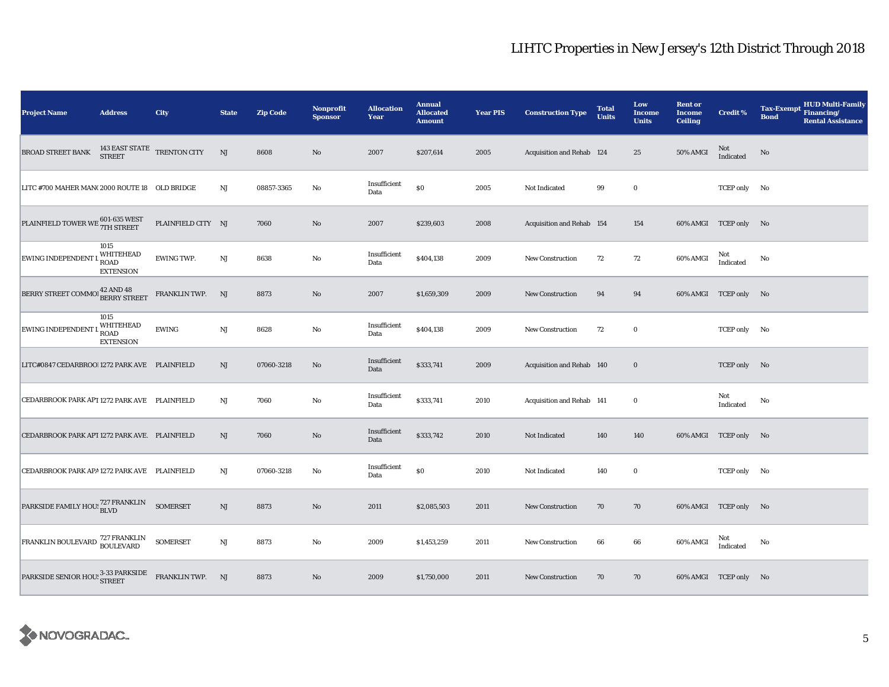| <b>Project Name</b>                                                | <b>Address</b>                                       | City                                        | <b>State</b> | <b>Zip Code</b> | Nonprofit<br><b>Sponsor</b> | <b>Allocation</b><br>Year | <b>Annual</b><br><b>Allocated</b><br><b>Amount</b> | <b>Year PIS</b> | <b>Construction Type</b>  | <b>Total</b><br><b>Units</b> | Low<br><b>Income</b><br><b>Units</b> | <b>Rent or</b><br><b>Income</b><br><b>Ceiling</b> | <b>Credit %</b>       | <b>HUD Multi-Family</b><br><b>Tax-Exempt</b><br>Financing/<br><b>Bond</b><br><b>Rental Assistance</b> |
|--------------------------------------------------------------------|------------------------------------------------------|---------------------------------------------|--------------|-----------------|-----------------------------|---------------------------|----------------------------------------------------|-----------------|---------------------------|------------------------------|--------------------------------------|---------------------------------------------------|-----------------------|-------------------------------------------------------------------------------------------------------|
| <b>BROAD STREET BANK</b>                                           |                                                      | $143$ EAST STATE $$\sf TRENTON$ CITY STREET | NJ           | 8608            | No                          | 2007                      | \$207,614                                          | 2005            | Acquisition and Rehab 124 |                              | $\bf 25$                             | 50% AMGI                                          | Not<br>Indicated      | No                                                                                                    |
| LITC #700 MAHER MAN(2000 ROUTE 18 OLD BRIDGE                       |                                                      |                                             | NJ           | 08857-3365      | No                          | Insufficient<br>Data      | $\$0$                                              | 2005            | Not Indicated             | 99                           | $\mathbf 0$                          |                                                   | TCEP only No          |                                                                                                       |
| PLAINFIELD TOWER WE 601-635 WEST                                   |                                                      | PLAINFIELD CITY NJ                          |              | 7060            | $\rm No$                    | 2007                      | \$239,603                                          | 2008            | Acquisition and Rehab 154 |                              | 154                                  |                                                   | 60% AMGI TCEP only No |                                                                                                       |
| EWING INDEPENDENT I                                                | 1015<br>WHITEHEAD<br><b>ROAD</b><br><b>EXTENSION</b> | <b>EWING TWP.</b>                           | $\rm{NJ}$    | 8638            | $\rm No$                    | Insufficient<br>Data      | \$404,138                                          | 2009            | New Construction          | 72                           | 72                                   | 60% AMGI                                          | Not<br>Indicated      | No                                                                                                    |
| BERRY STREET COMMO!                                                | 42 AND 48<br><b>BERRY STREET</b>                     | FRANKLIN TWP.                               | NJ           | 8873            | No                          | 2007                      | \$1,659,309                                        | 2009            | <b>New Construction</b>   | 94                           | 94                                   |                                                   | 60% AMGI TCEP only No |                                                                                                       |
| <b>EWING INDEPENDENT</b>                                           | 1015<br>WHITEHEAD<br><b>ROAD</b><br><b>EXTENSION</b> | <b>EWING</b>                                | $\rm{NJ}$    | 8628            | $\rm No$                    | Insufficient<br>Data      | \$404,138                                          | 2009            | New Construction          | 72                           | $\mathbf 0$                          |                                                   | TCEP only No          |                                                                                                       |
| LITC#0847 CEDARBROO! 1272 PARK AVE PLAINFIELD                      |                                                      |                                             | NJ           | 07060-3218      | No                          | Insufficient<br>Data      | \$333,741                                          | 2009            | Acquisition and Rehab 140 |                              | $\mathbf 0$                          |                                                   | TCEP only No          |                                                                                                       |
| CEDARBROOK PARK APT 1272 PARK AVE PLAINFIELD                       |                                                      |                                             | $_{\rm NJ}$  | 7060            | $\mathbf {No}$              | Insufficient<br>Data      | \$333,741                                          | 2010            | Acquisition and Rehab 141 |                              | $\mathbf 0$                          |                                                   | Not<br>Indicated      | No                                                                                                    |
| CEDARBROOK PARK APT 1272 PARK AVE. PLAINFIELD                      |                                                      |                                             | NJ           | 7060            | No                          | Insufficient<br>Data      | \$333,742                                          | 2010            | Not Indicated             | 140                          | 140                                  |                                                   | 60% AMGI TCEP only No |                                                                                                       |
| CEDARBROOK PARK APA 1272 PARK AVE PLAINFIELD                       |                                                      |                                             | NJ           | 07060-3218      | No                          | Insufficient<br>Data      | $\$0$                                              | 2010            | Not Indicated             | 140                          | $\mathbf 0$                          |                                                   | TCEP only No          |                                                                                                       |
| PARKSIDE FAMILY HOU: 727 FRANKLIN                                  |                                                      | <b>SOMERSET</b>                             | NJ           | 8873            | $\rm No$                    | 2011                      | \$2,085,503                                        | 2011            | <b>New Construction</b>   | 70                           | 70                                   |                                                   | 60% AMGI TCEP only No |                                                                                                       |
| FRANKLIN BOULEVARD 727 FRANKLIN<br>BOULEVARD                       |                                                      | <b>SOMERSET</b>                             | NJ           | 8873            | No                          | 2009                      | \$1,453,259                                        | 2011            | New Construction          | 66                           | 66                                   | 60% AMGI                                          | Not<br>Indicated      | No                                                                                                    |
| PARKSIDE SENIOR HOU: $\frac{3-33}{\text{STREET}}$ FRANKLIN TWP. NJ |                                                      |                                             |              | 8873            | No                          | 2009                      | \$1,750,000                                        | 2011            | <b>New Construction</b>   | 70                           | 70                                   |                                                   | 60% AMGI TCEP only No |                                                                                                       |

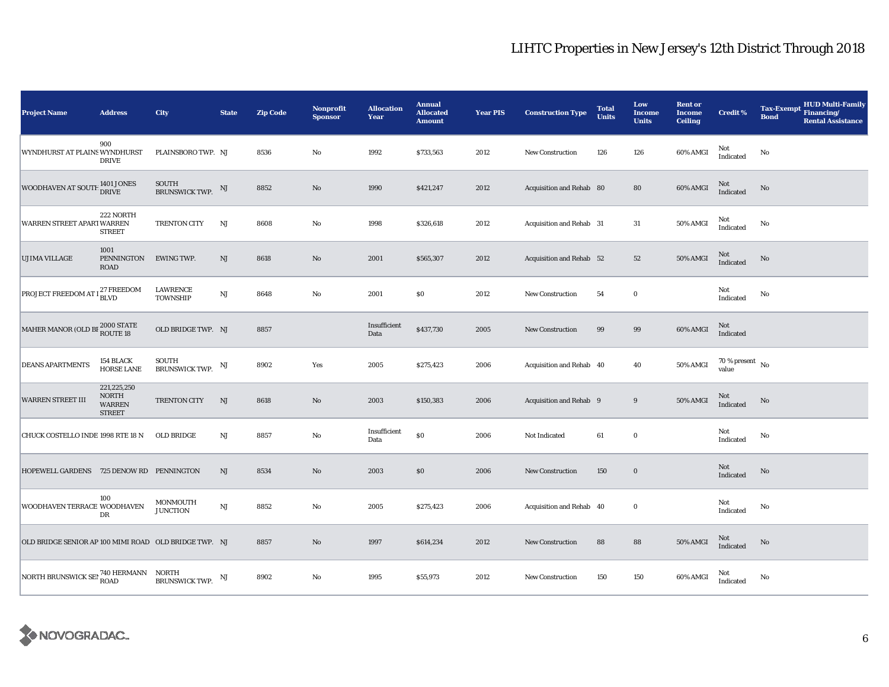| <b>Project Name</b>                                         | <b>Address</b>                                                | City                           | <b>State</b> | <b>Zip Code</b> | Nonprofit<br><b>Sponsor</b> | <b>Allocation</b><br>Year | <b>Annual</b><br><b>Allocated</b><br><b>Amount</b> | <b>Year PIS</b> | <b>Construction Type</b> | <b>Total</b><br><b>Units</b> | Low<br><b>Income</b><br><b>Units</b> | <b>Rent or</b><br><b>Income</b><br><b>Ceiling</b> | <b>Credit %</b>                      | <b>HUD Multi-Family</b><br><b>Tax-Exempt</b><br>Financing/<br><b>Bond</b><br><b>Rental Assistance</b> |
|-------------------------------------------------------------|---------------------------------------------------------------|--------------------------------|--------------|-----------------|-----------------------------|---------------------------|----------------------------------------------------|-----------------|--------------------------|------------------------------|--------------------------------------|---------------------------------------------------|--------------------------------------|-------------------------------------------------------------------------------------------------------|
| WYNDHURST AT PLAINS WYNDHURST                               | 900<br><b>DRIVE</b>                                           | PLAINSBORO TWP. NJ             |              | 8536            | $\mathbf {No}$              | 1992                      | \$733,563                                          | 2012            | <b>New Construction</b>  | 126                          | 126                                  | 60% AMGI                                          | Not<br>Indicated                     | No                                                                                                    |
| WOODHAVEN AT SOUTI                                          | $1401$ JONES<br><b>DRIVE</b>                                  | <b>SOUTH</b><br>BRUNSWICK TWP. | NJ           | 8852            | $\rm No$                    | 1990                      | \$421,247                                          | 2012            | Acquisition and Rehab 80 |                              | 80                                   | 60% AMGI                                          | Not<br>Indicated                     | $\mathbf{No}$                                                                                         |
| WARREN STREET APART WARREN                                  | 222 NORTH<br><b>STREET</b>                                    | TRENTON CITY                   | NJ           | 8608            | $\rm No$                    | 1998                      | \$326,618                                          | 2012            | Acquisition and Rehab 31 |                              | $31\,$                               | 50% AMGI                                          | Not<br>Indicated                     | No                                                                                                    |
| <b>UJIMA VILLAGE</b>                                        | 1001<br>PENNINGTON<br><b>ROAD</b>                             | <b>EWING TWP.</b>              | NJ           | 8618            | No                          | 2001                      | \$565,307                                          | 2012            | Acquisition and Rehab 52 |                              | 52                                   | 50% AMGI                                          | Not<br>Indicated                     | No                                                                                                    |
| PROJECT FREEDOM AT $1^{27}_{\rm{D}1\, \rm{M}2}$             |                                                               | LAWRENCE<br>TOWNSHIP           | $\rm{NJ}$    | 8648            | $\rm No$                    | 2001                      | $\$0$                                              | 2012            | New Construction         | 54                           | $\mathbf 0$                          |                                                   | Not<br>Indicated                     | No                                                                                                    |
| MAHER MANOR (OLD BI $_{\rm{ROUTE\ 18}}^{2000\ {\rm STATE}}$ |                                                               | OLD BRIDGE TWP. NJ             |              | 8857            |                             | Insufficient<br>Data      | \$437,730                                          | 2005            | <b>New Construction</b>  | 99                           | 99                                   | 60% AMGI                                          | Not<br>Indicated                     |                                                                                                       |
| <b>DEANS APARTMENTS</b>                                     | 154 BLACK<br>HORSE LANE                                       | SOUTH<br>BRUNSWICK TWP.        | NJ           | 8902            | Yes                         | 2005                      | \$275,423                                          | 2006            | Acquisition and Rehab 40 |                              | 40                                   | 50% AMGI                                          | $70$ % present $\,$ No $\,$<br>value |                                                                                                       |
| <b>WARREN STREET III</b>                                    | 221,225,250<br><b>NORTH</b><br><b>WARREN</b><br><b>STREET</b> | TRENTON CITY                   | NJ           | 8618            | No                          | 2003                      | \$150,383                                          | 2006            | Acquisition and Rehab 9  |                              | 9                                    | 50% AMGI                                          | $\rm Not$ Indicated                  | No                                                                                                    |
| CHUCK COSTELLO INDE 1998 RTE 18 N                           |                                                               | OLD BRIDGE                     | $\rm{NJ}$    | 8857            | $\rm No$                    | Insufficient<br>Data      | $\$0$                                              | 2006            | Not Indicated            | 61                           | $\mathbf 0$                          |                                                   | Not<br>Indicated                     | No                                                                                                    |
| HOPEWELL GARDENS 725 DENOW RD PENNINGTON                    |                                                               |                                | NJ           | 8534            | No                          | 2003                      | $\$0$                                              | 2006            | New Construction         | 150                          | $\mathbf 0$                          |                                                   | Not<br>Indicated                     | No                                                                                                    |
| WOODHAVEN TERRACE WOODHAVEN                                 | 100<br>DR                                                     | MONMOUTH<br><b>JUNCTION</b>    | NJ           | 8852            | $\rm No$                    | 2005                      | \$275,423                                          | 2006            | Acquisition and Rehab 40 |                              | $\bf{0}$                             |                                                   | Not<br>Indicated                     | No                                                                                                    |
| OLD BRIDGE SENIOR AP 100 MIMI ROAD OLD BRIDGE TWP. NJ       |                                                               |                                |              | 8857            | No                          | 1997                      | \$614,234                                          | 2012            | New Construction         | 88                           | 88                                   | 50% AMGI                                          | Not<br>Indicated                     | No                                                                                                    |
| NORTH BRUNSWICK SEI 740 HERMANN NORTH                       |                                                               | BRUNSWICK TWP. NJ              |              | 8902            | $\rm No$                    | 1995                      | \$55,973                                           | 2012            | <b>New Construction</b>  | 150                          | 150                                  | 60% AMGI                                          | Not<br>Indicated                     | No                                                                                                    |

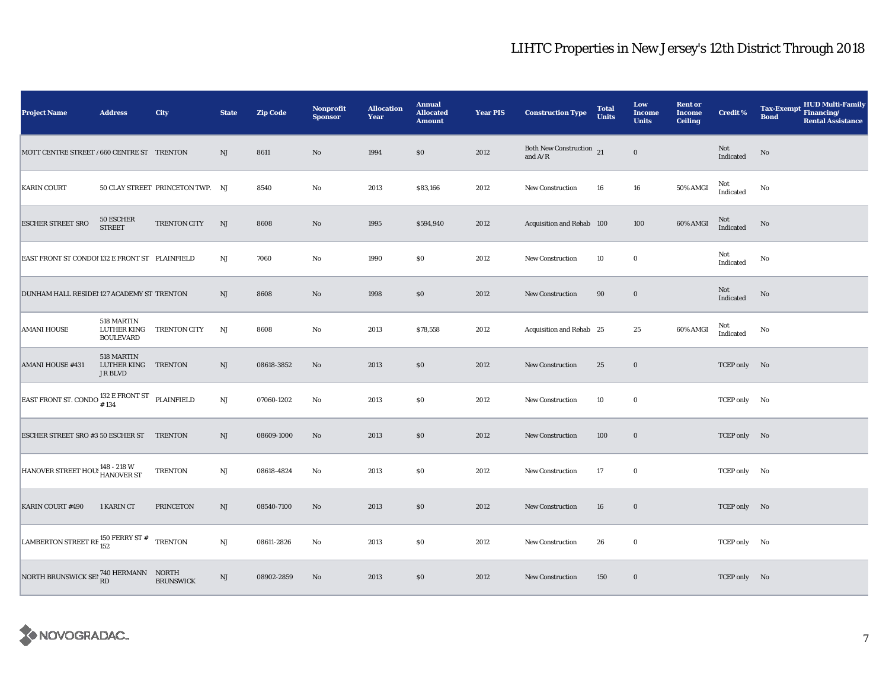| <b>Project Name</b>                                                 | <b>Address</b>                                | City                             | <b>State</b>           | <b>Zip Code</b> | Nonprofit<br><b>Sponsor</b> | <b>Allocation</b><br>Year | <b>Annual</b><br><b>Allocated</b><br><b>Amount</b> | <b>Year PIS</b> | <b>Construction Type</b>                                                          | <b>Total</b><br><b>Units</b> | Low<br><b>Income</b><br><b>Units</b> | <b>Rent or</b><br><b>Income</b><br><b>Ceiling</b> | <b>Credit %</b>  | HUD Multi-Family<br>Financing/<br><b>Tax-Exempt</b><br><b>Bond</b><br><b>Rental Assistance</b> |
|---------------------------------------------------------------------|-----------------------------------------------|----------------------------------|------------------------|-----------------|-----------------------------|---------------------------|----------------------------------------------------|-----------------|-----------------------------------------------------------------------------------|------------------------------|--------------------------------------|---------------------------------------------------|------------------|------------------------------------------------------------------------------------------------|
| MOTT CENTRE STREET / 660 CENTRE ST TRENTON                          |                                               |                                  | NJ                     | 8611            | No                          | 1994                      | \$0                                                | 2012            | Both New Construction 21<br>and $\ensuremath{\mathrm{A}}/\ensuremath{\mathrm{R}}$ |                              | $\bf{0}$                             |                                                   | Not<br>Indicated | No                                                                                             |
| <b>KARIN COURT</b>                                                  |                                               | 50 CLAY STREET PRINCETON TWP. NJ |                        | 8540            | No                          | 2013                      | \$83,166                                           | 2012            | <b>New Construction</b>                                                           | 16                           | 16                                   | <b>50% AMGI</b>                                   | Not<br>Indicated | No                                                                                             |
| <b>ESCHER STREET SRO</b>                                            | 50 ESCHER<br><b>STREET</b>                    | TRENTON CITY                     | NJ                     | 8608            | $\mathbf{N}\mathbf{o}$      | 1995                      | \$594,940                                          | 2012            | Acquisition and Rehab 100                                                         |                              | 100                                  | 60% AMGI                                          | Not<br>Indicated | No                                                                                             |
| EAST FRONT ST CONDO! 132 E FRONT ST PLAINFIELD                      |                                               |                                  | NJ                     | 7060            | No                          | 1990                      | \$0                                                | 2012            | New Construction                                                                  | 10                           | $\bf{0}$                             |                                                   | Not<br>Indicated | No                                                                                             |
| DUNHAM HALL RESIDEI 127 ACADEMY ST TRENTON                          |                                               |                                  | NJ                     | 8608            | No                          | 1998                      | \$0                                                | 2012            | <b>New Construction</b>                                                           | 90                           | $\bf{0}$                             |                                                   | Not<br>Indicated | No                                                                                             |
| <b>AMANI HOUSE</b>                                                  | 518 MARTIN<br>LUTHER KING<br><b>BOULEVARD</b> | TRENTON CITY                     | NJ                     | 8608            | No                          | 2013                      | \$78,558                                           | 2012            | Acquisition and Rehab 25                                                          |                              | 25                                   | 60% AMGI                                          | Not<br>Indicated | No                                                                                             |
| <b>AMANI HOUSE #431</b>                                             | 518 MARTIN<br>LUTHER KING<br>JR BLVD          | <b>TRENTON</b>                   | NJ                     | 08618-3852      | No                          | 2013                      | \$0                                                | 2012            | New Construction                                                                  | 25                           | $\bf{0}$                             |                                                   | TCEP only No     |                                                                                                |
| EAST FRONT ST. CONDO $^{132}_{\text{\# }134}$ E FRONT ST PLAINFIELD |                                               |                                  | $\mathbf{N}\mathbf{J}$ | 07060-1202      | $\rm No$                    | 2013                      | \$0                                                | 2012            | <b>New Construction</b>                                                           | 10                           | $\bf{0}$                             |                                                   | TCEP only No     |                                                                                                |
| ESCHER STREET SRO #3 50 ESCHER ST TRENTON                           |                                               |                                  | NJ                     | 08609-1000      | No                          | 2013                      | \$0                                                | 2012            | New Construction                                                                  | 100                          | $\bf{0}$                             |                                                   | TCEP only No     |                                                                                                |
| HANOVER STREET HOU: 148 - 218 W<br>HANOVER ST                       |                                               | <b>TRENTON</b>                   | NJ                     | 08618-4824      | No                          | 2013                      | \$0                                                | 2012            | <b>New Construction</b>                                                           | 17                           | $\bf{0}$                             |                                                   | TCEP only No     |                                                                                                |
| KARIN COURT #490                                                    | 1 KARIN CT                                    | <b>PRINCETON</b>                 | NJ                     | 08540-7100      | $\mathbf{N}\mathbf{o}$      | 2013                      | \$0                                                | 2012            | New Construction                                                                  | 16                           | $\bf{0}$                             |                                                   | TCEP only No     |                                                                                                |
| LAMBERTON STREET RE $^{150}$ FERRY ST #                             |                                               | <b>TRENTON</b>                   | $\rm{NJ}$              | 08611-2826      | No                          | 2013                      | \$0                                                | 2012            | New Construction                                                                  | 26                           | $\bf{0}$                             |                                                   | TCEP only No     |                                                                                                |
| NORTH BRUNSWICK SET <sup>740</sup> HERMANN NORTH BRUNSWICK SET RD   |                                               | <b>BRUNSWICK</b>                 | $\rm{NJ}$              | 08902-2859      | $\mathbf{N}\mathbf{o}$      | 2013                      | \$0                                                | 2012            | <b>New Construction</b>                                                           | 150                          | $\bf{0}$                             |                                                   | TCEP only No     |                                                                                                |

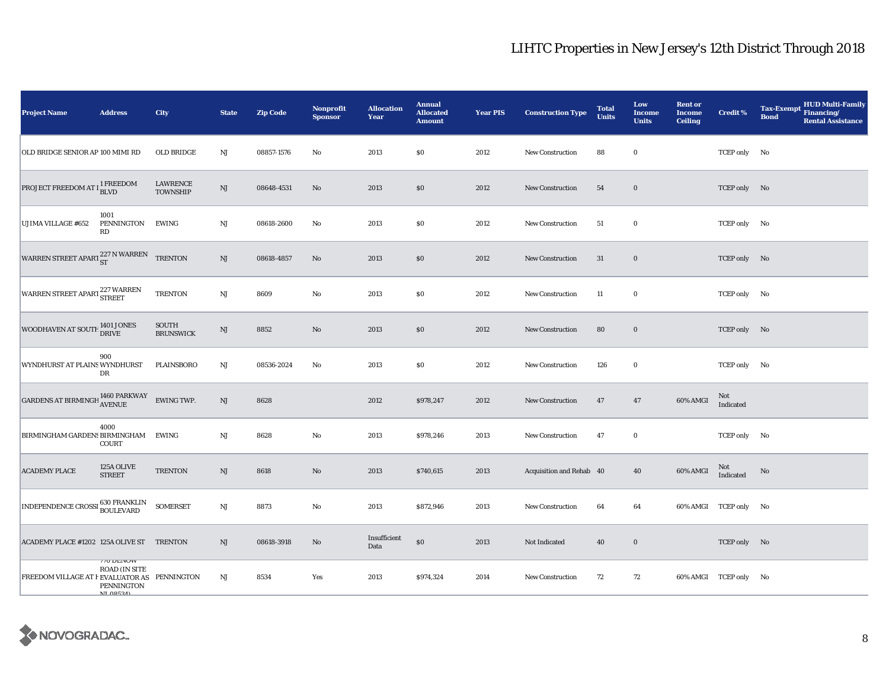| <b>Project Name</b>                                                                                                                                                         | <b>Address</b>                                                                    | City                      | <b>State</b>           | <b>Zip Code</b> | <b>Nonprofit</b><br><b>Sponsor</b> | <b>Allocation</b><br>Year | <b>Annual</b><br><b>Allocated</b><br><b>Amount</b> | <b>Year PIS</b> | <b>Construction Type</b> | <b>Total</b><br><b>Units</b> | Low<br><b>Income</b><br><b>Units</b> | <b>Rent or</b><br><b>Income</b><br><b>Ceiling</b> | <b>Credit %</b>       | <b>HUD Multi-Family</b><br><b>Tax-Exempt</b><br>Financing/<br><b>Bond</b><br><b>Rental Assistance</b> |
|-----------------------------------------------------------------------------------------------------------------------------------------------------------------------------|-----------------------------------------------------------------------------------|---------------------------|------------------------|-----------------|------------------------------------|---------------------------|----------------------------------------------------|-----------------|--------------------------|------------------------------|--------------------------------------|---------------------------------------------------|-----------------------|-------------------------------------------------------------------------------------------------------|
| OLD BRIDGE SENIOR AP 100 MIMI RD                                                                                                                                            |                                                                                   | OLD BRIDGE                | $_{\rm NJ}$            | 08857-1576      | $\rm No$                           | 2013                      | \$0                                                | 2012            | <b>New Construction</b>  | 88                           | $\bf{0}$                             |                                                   | TCEP only No          |                                                                                                       |
| PROJECT FREEDOM AT $I_{\hbox{BLVD}}^{1\hbox{ FREEDOM}}$                                                                                                                     |                                                                                   | LAWRENCE<br>TOWNSHIP      | NJ                     | 08648-4531      | $\mathbf{No}$                      | 2013                      | \$0                                                | 2012            | <b>New Construction</b>  | 54                           | $\bf{0}$                             |                                                   | TCEP only No          |                                                                                                       |
| <b>UJIMA VILLAGE #652</b>                                                                                                                                                   | 1001<br>PENNINGTON<br>RD                                                          | <b>EWING</b>              | NJ                     | 08618-2600      | No                                 | 2013                      | \$0                                                | 2012            | New Construction         | 51                           | $\bf{0}$                             |                                                   | TCEP only No          |                                                                                                       |
| WARREN STREET APART $^{227}$ N WARREN TRENTON                                                                                                                               |                                                                                   |                           | $\mathbf{N}\mathbf{J}$ | 08618-4857      | No                                 | 2013                      | $\$0$                                              | 2012            | New Construction         | 31                           | $\bf{0}$                             |                                                   | TCEP only No          |                                                                                                       |
| WARREN STREET APART 227 WARREN                                                                                                                                              |                                                                                   | <b>TRENTON</b>            | NJ                     | 8609            | No                                 | 2013                      | \$0                                                | 2012            | New Construction         | 11                           | $\bf{0}$                             |                                                   | TCEP only No          |                                                                                                       |
| WOODHAVEN AT SOUTH 1401 JONES                                                                                                                                               |                                                                                   | SOUTH<br><b>BRUNSWICK</b> | $\rm{NJ}$              | 8852            | $\mathbf{No}$                      | 2013                      | \$0                                                | 2012            | New Construction         | 80                           | $\bf{0}$                             |                                                   | TCEP only No          |                                                                                                       |
| WYNDHURST AT PLAINS WYNDHURST                                                                                                                                               | 900<br>DR                                                                         | <b>PLAINSBORO</b>         | NJ                     | 08536-2024      | No                                 | 2013                      | \$0                                                | 2012            | New Construction         | 126                          | $\bf{0}$                             |                                                   | TCEP only No          |                                                                                                       |
| $\begin{tabular}{ll} \multicolumn{2}{l}{{\bf GARDENS AT BIRMINGH}} \begin{tabular}{ll} \multicolumn{2}{l}{\bf A460 PARKWAY} & {\bf EWING TWP.} \end{tabular} \end{tabular}$ |                                                                                   |                           | NJ                     | 8628            |                                    | 2012                      | \$978,247                                          | 2012            | New Construction         | 47                           | 47                                   | 60% AMGI                                          | Not<br>Indicated      |                                                                                                       |
| BIRMINGHAM GARDENS BIRMINGHAM                                                                                                                                               | 4000<br><b>COURT</b>                                                              | EWING                     | NJ                     | 8628            | $\rm No$                           | 2013                      | \$978,246                                          | 2013            | New Construction         | 47                           | $\bf{0}$                             |                                                   | TCEP only No          |                                                                                                       |
| <b>ACADEMY PLACE</b>                                                                                                                                                        | 125A OLIVE<br><b>STREET</b>                                                       | <b>TRENTON</b>            | $\rm{NJ}$              | 8618            | $\mathbf{No}$                      | 2013                      | \$740,615                                          | 2013            | Acquisition and Rehab 40 |                              | 40                                   | 60% AMGI                                          | Not<br>Indicated      | No                                                                                                    |
| INDEPENDENCE CROSSI 630 FRANKLIN                                                                                                                                            |                                                                                   | SOMERSET                  | NJ                     | 8873            | No                                 | 2013                      | \$872,946                                          | 2013            | <b>New Construction</b>  | 64                           | 64                                   |                                                   | 60% AMGI TCEP only No |                                                                                                       |
| ACADEMY PLACE #1202 125A OLIVE ST TRENTON                                                                                                                                   |                                                                                   |                           | NJ                     | 08618-3918      | No                                 | Insufficient<br>Data      | $\$0$                                              | 2013            | Not Indicated            | 40                           | $\bf{0}$                             |                                                   | TCEP only No          |                                                                                                       |
| FREEDOM VILLAGE AT F EVALUATOR AS PENNINGTON                                                                                                                                | <b>TO DEIVOW</b><br><b>ROAD (IN SITE</b><br><b>PENNINGTON</b><br><b>NT 08524)</b> |                           | NJ                     | 8534            | Yes                                | 2013                      | \$974,324                                          | 2014            | <b>New Construction</b>  | 72                           | 72                                   |                                                   | 60% AMGI TCEP only No |                                                                                                       |